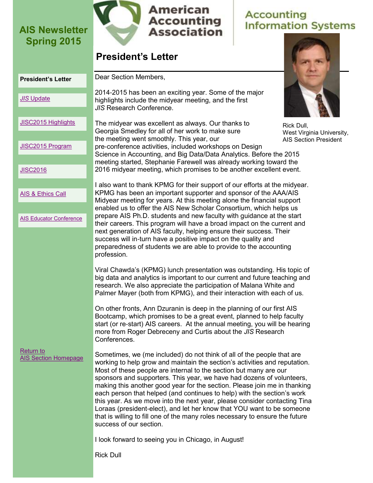

# **Accounting**<br>Information Systems

### **President's Letter**

<span id="page-0-0"></span>

| <b>President's Letter</b>                | Dear Section Members,                                                                                                                                                                                                                                                                                                                                                                                                                                                                                                                                                                                                                                                                                                        |  |
|------------------------------------------|------------------------------------------------------------------------------------------------------------------------------------------------------------------------------------------------------------------------------------------------------------------------------------------------------------------------------------------------------------------------------------------------------------------------------------------------------------------------------------------------------------------------------------------------------------------------------------------------------------------------------------------------------------------------------------------------------------------------------|--|
| <b>JIS Update</b>                        | 2014-2015 has been an exciting year. Some of the major<br>highlights include the midyear meeting, and the first<br>JIS Research Conference.                                                                                                                                                                                                                                                                                                                                                                                                                                                                                                                                                                                  |  |
| JISC2015 Highlights                      | The midyear was excellent as always. Our thanks to<br>Rick Dull,<br>Georgia Smedley for all of her work to make sure<br>West Virginia University,                                                                                                                                                                                                                                                                                                                                                                                                                                                                                                                                                                            |  |
| JISC2015 Program                         | the meeting went smoothly. This year, our<br><b>AIS Section President</b><br>pre-conference activities, included workshops on Design<br>Science in Accounting, and Big Data/Data Analytics. Before the 2015<br>meeting started, Stephanie Farewell was already working toward the                                                                                                                                                                                                                                                                                                                                                                                                                                            |  |
| <b>JISC2016</b>                          | 2016 midyear meeting, which promises to be another excellent event.                                                                                                                                                                                                                                                                                                                                                                                                                                                                                                                                                                                                                                                          |  |
| <b>AIS &amp; Ethics Call</b>             | I also want to thank KPMG for their support of our efforts at the midyear.<br>KPMG has been an important supporter and sponsor of the AAA/AIS<br>Midyear meeting for years. At this meeting alone the financial support<br>enabled us to offer the AIS New Scholar Consortium, which helps us                                                                                                                                                                                                                                                                                                                                                                                                                                |  |
| <b>AIS Educator Conference</b>           | prepare AIS Ph.D. students and new faculty with guidance at the start<br>their careers. This program will have a broad impact on the current and                                                                                                                                                                                                                                                                                                                                                                                                                                                                                                                                                                             |  |
|                                          | next generation of AIS faculty, helping ensure their success. Their<br>success will in-turn have a positive impact on the quality and<br>preparedness of students we are able to provide to the accounting<br>profession.                                                                                                                                                                                                                                                                                                                                                                                                                                                                                                    |  |
|                                          | Viral Chawda's (KPMG) lunch presentation was outstanding. His topic of<br>big data and analytics is important to our current and future teaching and<br>research. We also appreciate the participation of Malana White and<br>Palmer Mayer (both from KPMG), and their interaction with each of us.                                                                                                                                                                                                                                                                                                                                                                                                                          |  |
|                                          | On other fronts, Ann Dzuranin is deep in the planning of our first AIS<br>Bootcamp, which promises to be a great event, planned to help faculty<br>start (or re-start) AIS careers. At the annual meeting, you will be hearing<br>more from Roger Debreceny and Curtis about the JIS Research<br>Conferences.                                                                                                                                                                                                                                                                                                                                                                                                                |  |
| Return to<br><b>AIS Section Homepage</b> | Sometimes, we (me included) do not think of all of the people that are<br>working to help grow and maintain the section's activities and reputation.<br>Most of these people are internal to the section but many are our<br>sponsors and supporters. This year, we have had dozens of volunteers,<br>making this another good year for the section. Please join me in thanking<br>each person that helped (and continues to help) with the section's work<br>this year. As we move into the next year, please consider contacting Tina<br>Loraas (president-elect), and let her know that YOU want to be someone<br>that is willing to fill one of the many roles necessary to ensure the future<br>success of our section. |  |
|                                          | I look forward to seeing you in Chicago, in August!                                                                                                                                                                                                                                                                                                                                                                                                                                                                                                                                                                                                                                                                          |  |
|                                          | <b>Rick Dull</b>                                                                                                                                                                                                                                                                                                                                                                                                                                                                                                                                                                                                                                                                                                             |  |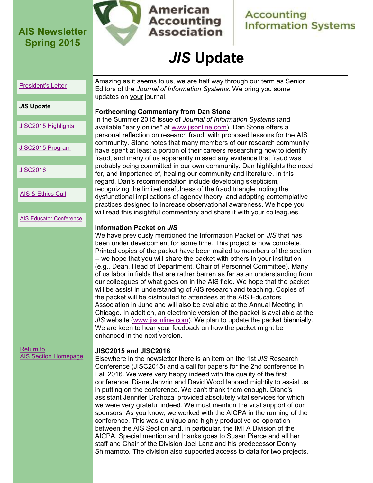

**American Accounting Association** 

### **Accounting Information Systems**

# *JIS* **Update**

#### <span id="page-1-0"></span>[President's Letter](#page-0-0)

Amazing as it seems to us, we are half way through our term as Senior Editors of the *Journal of Information Systems*. We bring you some updates on your journal.

### *JIS* **Update**

| JISC2015 Highlights |  |
|---------------------|--|
|                     |  |

[JISC2015 Program](#page-5-0)

[JISC2016](#page-7-0)

[AIS & Ethics Call](#page-9-0)

[AIS Educator Conference](#page-11-0)

### [Return to](http://www2.aaahq.org/infosys/index.cfm)  [AIS Section Homepage](http://www2.aaahq.org/infosys/index.cfm)

### **Forthcoming Commentary from Dan Stone**

In the Summer 2015 issue of *Journal of Information Systems* (and available "early online" at [www.jisonline.com\),](http://www.jisonline.com) Dan Stone offers a personal reflection on research fraud, with proposed lessons for the AIS community. Stone notes that many members of our research community have spent at least a portion of their careers researching how to identify fraud, and many of us apparently missed any evidence that fraud was probably being committed in our own community. Dan highlights the need for, and importance of, healing our community and literature. In this regard, Dan's recommendation include developing skepticism, recognizing the limited usefulness of the fraud triangle, noting the dysfunctional implications of agency theory, and adopting contemplative practices designed to increase observational awareness. We hope you will read this insightful commentary and share it with your colleagues.

#### **Information Packet on** *JIS*

We have previously mentioned the Information Packet on *JIS* that has been under development for some time. This project is now complete. Printed copies of the packet have been mailed to members of the section -- we hope that you will share the packet with others in your institution (e.g., Dean, Head of Department, Chair of Personnel Committee). Many of us labor in fields that are rather barren as far as an understanding from our colleagues of what goes on in the AIS field. We hope that the packet will be assist in understanding of AIS research and teaching. Copies of the packet will be distributed to attendees at the AIS Educators Association in June and will also be available at the Annual Meeting in Chicago. In addition, an electronic version of the packet is available at the *JIS* website ([www.jisonline.com\)](http://www.jisonline.com). We plan to update the packet biennially. We are keen to hear your feedback on how the packet might be enhanced in the next version.

#### **JISC2015 and JISC2016**

Elsewhere in the newsletter there is an item on the 1st *JIS* Research Conference (JISC2015) and a call for papers for the 2nd conference in Fall 2016. We were very happy indeed with the quality of the first conference. Diane Janvrin and David Wood labored mightily to assist us in putting on the conference. We can't thank them enough. Diane's assistant Jennifer Drahozal provided absolutely vital services for which we were very grateful indeed. We must mention the vital support of our sponsors. As you know, we worked with the AICPA in the running of the conference. This was a unique and highly productive co-operation between the AIS Section and, in particular, the IMTA Division of the AICPA. Special mention and thanks goes to Susan Pierce and all her staff and Chair of the Division Joel Lanz and his predecessor Donny Shimamoto. The division also supported access to data for two projects.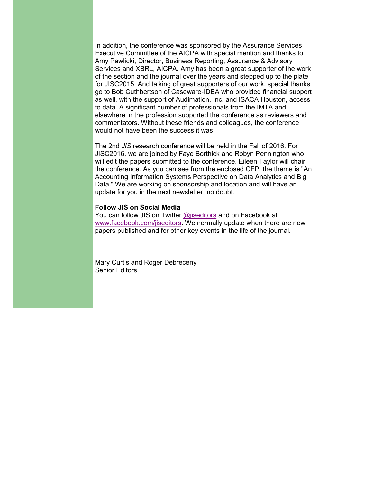In addition, the conference was sponsored by the Assurance Services Executive Committee of the AICPA with special mention and thanks to Amy Pawlicki, Director, Business Reporting, Assurance & Advisory Services and XBRL, AICPA. Amy has been a great supporter of the work of the section and the journal over the years and stepped up to the plate for JISC2015. And talking of great supporters of our work, special thanks go to Bob Cuthbertson of Caseware-IDEA who provided financial support as well, with the support of Audimation, Inc. and ISACA Houston, access to data. A significant number of professionals from the IMTA and elsewhere in the profession supported the conference as reviewers and commentators. Without these friends and colleagues, the conference would not have been the success it was.

The 2nd *JIS* research conference will be held in the Fall of 2016. For JISC2016, we are joined by Faye Borthick and Robyn Pennington who will edit the papers submitted to the conference. Eileen Taylor will chair the conference. As you can see from the enclosed CFP, the theme is "An Accounting Information Systems Perspective on Data Analytics and Big Data." We are working on sponsorship and location and will have an update for you in the next newsletter, no doubt.

#### **Follow JIS on Social Media**

You can follow JIS on Twitter [@jiseditors](https://twitter.com/jiseditors) and on Facebook at [www.facebook.com/jiseditors.](https://www.facebook.com/jiseditors) We normally update when there are new papers published and for other key events in the life of the journal.

Mary Curtis and Roger Debreceny Senior Editors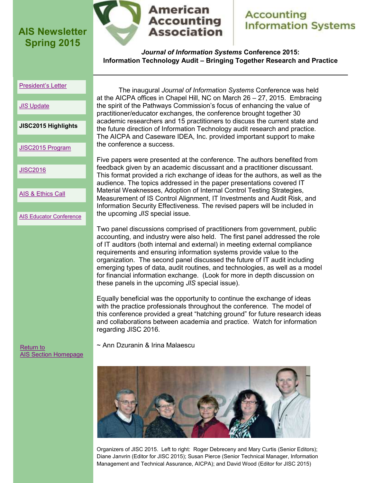

### **American Accounting Association**

### **Accounting Information Systems**

*Journal of Information Systems* **Conference 2015: Information Technology Audit – Bringing Together Research and Practice**

#### <span id="page-3-0"></span>[President's Letter](#page-0-0)

#### *JIS* [Update](#page-1-0)

**JISC2015 Highlights**

[JISC2015 Program](#page-5-0)

[JISC2016](#page-7-0)

[AIS & Ethics Call](#page-9-0)

[AIS Educator Conference](#page-11-0)

The inaugural *Journal of Information Systems* Conference was held at the AICPA offices in Chapel Hill, NC on March 26 – 27, 2015. Embracing the spirit of the Pathways Commission's focus of enhancing the value of practitioner/educator exchanges, the conference brought together 30 academic researchers and 15 practitioners to discuss the current state and the future direction of Information Technology audit research and practice. The AICPA and Caseware IDEA, Inc. provided important support to make the conference a success.

Five papers were presented at the conference. The authors benefited from feedback given by an academic discussant and a practitioner discussant. This format provided a rich exchange of ideas for the authors, as well as the audience. The topics addressed in the paper presentations covered IT Material Weaknesses, Adoption of Internal Control Testing Strategies, Measurement of IS Control Alignment, IT Investments and Audit Risk, and Information Security Effectiveness. The revised papers will be included in the upcoming *JIS* special issue.

Two panel discussions comprised of practitioners from government, public accounting, and industry were also held. The first panel addressed the role of IT auditors (both internal and external) in meeting external compliance requirements and ensuring information systems provide value to the organization. The second panel discussed the future of IT audit including emerging types of data, audit routines, and technologies, as well as a model for financial information exchange. (Look for more in depth discussion on these panels in the upcoming *JIS* special issue).

Equally beneficial was the opportunity to continue the exchange of ideas with the practice professionals throughout the conference. The model of this conference provided a great "hatching ground" for future research ideas and collaborations between academia and practice. Watch for information regarding JISC 2016.

~ Ann Dzuranin & Irina Malaescu

[Return to](http://www2.aaahq.org/infosys/index.cfm)  [AIS Section Homepage](http://www2.aaahq.org/infosys/index.cfm)

Organizers of JISC 2015. Left to right: Roger Debreceny and Mary Curtis (Senior Editors); Diane Janvrin (Editor for JISC 2015); Susan Pierce (Senior Technical Manager, Information Management and Technical Assurance, AICPA); and David Wood (Editor for JISC 2015)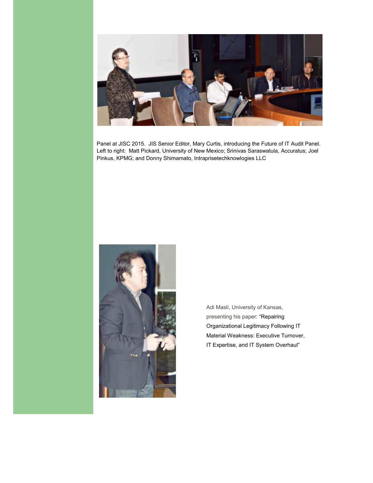

Panel at JISC 2015. JIS Senior Editor, Mary Curtis, introducing the Future of IT Audit Panel. Left to right: Matt Pickard, University of New Mexico; Srinivas Saraswatula, Accuratus; Joel Pinkus, KPMG; and Donny Shimamato, Intraprisetechknowlogies LLC



Adi Masli, University of Kansas, presenting his paper: "Repairing Organizational Legitimacy Following IT Material Weakness: Executive Turnover, IT Expertise, and IT System Overhaul"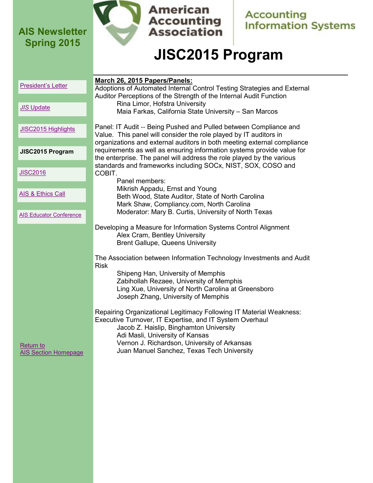

**American Accounting**<br>Association

**Accounting**<br>Information Systems

# **JISC2015 Program**

<span id="page-5-0"></span>

| President's Letter                       | March 26, 2015 Papers/Panels:<br>Adoptions of Automated Internal Control Testing Strategies and External<br>Auditor Perceptions of the Strength of the Internal Audit Function<br>Rina Limor, Hofstra University<br>Maia Farkas, California State University - San Marcos                                                                                                                                                                                                                                           |  |
|------------------------------------------|---------------------------------------------------------------------------------------------------------------------------------------------------------------------------------------------------------------------------------------------------------------------------------------------------------------------------------------------------------------------------------------------------------------------------------------------------------------------------------------------------------------------|--|
| <b>JIS Update</b>                        |                                                                                                                                                                                                                                                                                                                                                                                                                                                                                                                     |  |
| JISC2015 Highlights                      | Panel: IT Audit -- Being Pushed and Pulled between Compliance and<br>Value. This panel will consider the role played by IT auditors in                                                                                                                                                                                                                                                                                                                                                                              |  |
| JISC2015 Program                         | organizations and external auditors in both meeting external compliance<br>requirements as well as ensuring information systems provide value for<br>the enterprise. The panel will address the role played by the various<br>standards and frameworks including SOCx, NIST, SOX, COSO and<br>COBIT.<br>Panel members:<br>Mikrish Appadu, Ernst and Young<br>Beth Wood, State Auditor, State of North Carolina<br>Mark Shaw, Compliancy.com, North Carolina<br>Moderator: Mary B. Curtis, University of North Texas |  |
| <b>JISC2016</b>                          |                                                                                                                                                                                                                                                                                                                                                                                                                                                                                                                     |  |
| AIS & Ethics Call                        |                                                                                                                                                                                                                                                                                                                                                                                                                                                                                                                     |  |
| <b>AIS Educator Conference</b>           |                                                                                                                                                                                                                                                                                                                                                                                                                                                                                                                     |  |
|                                          | Developing a Measure for Information Systems Control Alignment<br>Alex Cram, Bentley University<br><b>Brent Gallupe, Queens University</b>                                                                                                                                                                                                                                                                                                                                                                          |  |
|                                          | The Association between Information Technology Investments and Audit<br><b>Risk</b><br>Shipeng Han, University of Memphis<br>Zabihollah Rezaee, University of Memphis<br>Ling Xue, University of North Carolina at Greensboro<br>Joseph Zhang, University of Memphis                                                                                                                                                                                                                                                |  |
| Return to<br><b>AIS Section Homepage</b> | Repairing Organizational Legitimacy Following IT Material Weakness:<br>Executive Turnover, IT Expertise, and IT System Overhaul<br>Jacob Z. Haislip, Binghamton University<br>Adi Masli, University of Kansas<br>Vernon J. Richardson, University of Arkansas<br>Juan Manuel Sanchez, Texas Tech University                                                                                                                                                                                                         |  |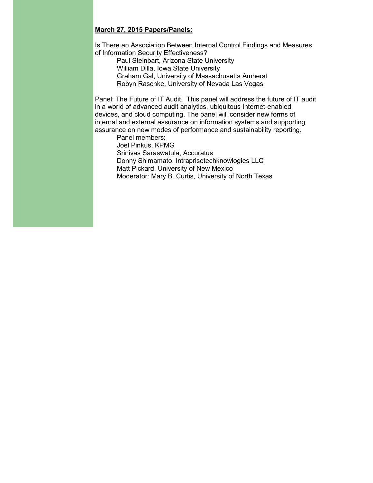#### **March 27, 2015 Papers/Panels:**

Is There an Association Between Internal Control Findings and Measures of Information Security Effectiveness?

Paul Steinbart, Arizona State University William Dilla, Iowa State University Graham Gal, University of Massachusetts Amherst Robyn Raschke, University of Nevada Las Vegas

Panel: The Future of IT Audit. This panel will address the future of IT audit in a world of advanced audit analytics, ubiquitous Internet-enabled devices, and cloud computing. The panel will consider new forms of internal and external assurance on information systems and supporting assurance on new modes of performance and sustainability reporting.

Panel members: Joel Pinkus, KPMG Srinivas Saraswatula, Accuratus Donny Shimamato, Intraprisetechknowlogies LLC Matt Pickard, University of New Mexico Moderator: Mary B. Curtis, University of North Texas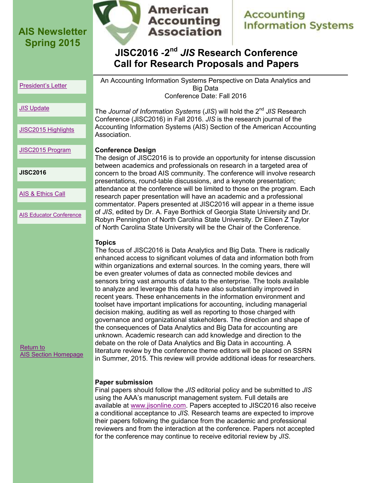

# **Accounting Information Systems**

### **JISC2016 -2 nd** *JIS* **Research Conference Call for Research Proposals and Papers**

<span id="page-7-0"></span>[President's Letter](#page-0-0)

An Accounting Information Systems Perspective on Data Analytics and Big Data Conference Date: Fall 2016

#### *JIS* [Update](#page-1-0)

[JISC2015 Highlights](#page-3-0)

[JISC2015 Program](#page-5-0)

**JISC2016**

[AIS & Ethics Call](#page-9-0)

[AIS Educator Conference](#page-11-0)

### **Topics**

The focus of JISC2016 is Data Analytics and Big Data. There is radically enhanced access to significant volumes of data and information both from within organizations and external sources. In the coming years, there will be even greater volumes of data as connected mobile devices and sensors bring vast amounts of data to the enterprise. The tools available to analyze and leverage this data have also substantially improved in recent years. These enhancements in the information environment and toolset have important implications for accounting, including managerial decision making, auditing as well as reporting to those charged with governance and organizational stakeholders. The direction and shape of the consequences of Data Analytics and Big Data for accounting are unknown. Academic research can add knowledge and direction to the debate on the role of Data Analytics and Big Data in accounting. A literature review by the conference theme editors will be placed on SSRN in Summer, 2015. This review will provide additional ideas for researchers.

**Paper submission**

Final papers should follow the *JIS* editorial policy and be submitted to *JIS* using the AAA's manuscript management system. Full details are available at [www.jisonline.com.](http://www.jisonline.com/) Papers accepted to JISC2016 also receive a conditional acceptance to *JIS*. Research teams are expected to improve their papers following the guidance from the academic and professional reviewers and from the interaction at the conference. Papers not accepted for the conference may continue to receive editorial review by *JIS*.

#### The *Journal of Information Systems* (*JIS*) will hold the 2nd *JIS* Research Conference (JISC2016) in Fall 2016. *JIS* is the research journal of the Accounting Information Systems (AIS) Section of the American Accounting Association.

#### **Conference Design**

The design of JISC2016 is to provide an opportunity for intense discussion between academics and professionals on research in a targeted area of concern to the broad AIS community. The conference will involve research presentations, round-table discussions, and a keynote presentation; attendance at the conference will be limited to those on the program. Each research paper presentation will have an academic and a professional commentator. Papers presented at JISC2016 will appear in a theme issue of *JIS*, edited by Dr. A. Faye Borthick of Georgia State University and Dr. Robyn Pennington of North Carolina State University. Dr Eileen Z Taylor of North Carolina State University will be the Chair of the Conference.

### [Return to](http://www2.aaahq.org/infosys/index.cfm)  [AIS Section Homepage](http://www2.aaahq.org/infosys/index.cfm)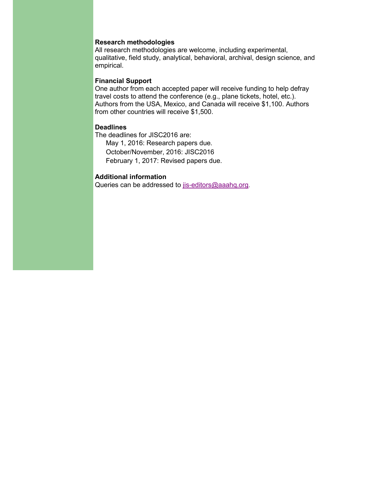#### **Research methodologies**

All research methodologies are welcome, including experimental, qualitative, field study, analytical, behavioral, archival, design science, and empirical.

#### **Financial Support**

One author from each accepted paper will receive funding to help defray travel costs to attend the conference (e.g., plane tickets, hotel, etc.). Authors from the USA, Mexico, and Canada will receive \$1,100. Authors from other countries will receive \$1,500.

#### **Deadlines**

The deadlines for JISC2016 are: May 1, 2016: Research papers due. October/November, 2016: JISC2016 February 1, 2017: Revised papers due.

#### **Additional information**

Queries can be addressed to [jis-editors@aaahq.org](mailto:jis-editors@aaahq.org).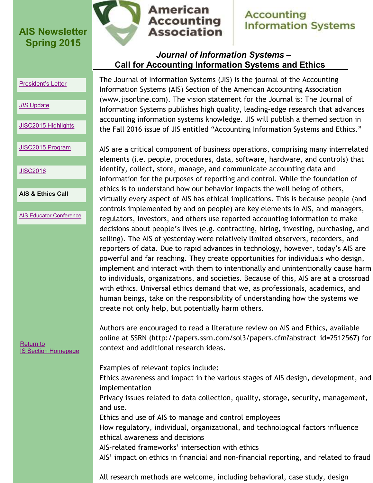

# **Accounting Information Systems**

### *Journal of Information Systems* **– Call for Accounting Information Systems and Ethics**

#### <span id="page-9-0"></span>[President's Letter](#page-0-0)

#### *JIS* [Update](#page-9-0)

[JISC2015 Highlights](#page-3-0)

#### [JISC2015 Program](#page-5-0)

**[JISC2016](#page-7-0)** 

#### **AIS & Ethics Call**

[AIS Educator Conference](#page-11-0)

[Return to](http://www2.aaahq.org/infosys/index.cfm)  [IS Section Homepage](http://www2.aaahq.org/infosys/index.cfm) The Journal of Information Systems (JIS) is the journal of the Accounting Information Systems (AIS) Section of the American Accounting Association (www.jisonline.com). The vision statement for the Journal is: The Journal of Information Systems publishes high quality, leading-edge research that advances accounting information systems knowledge. JIS will publish a themed section in the Fall 2016 issue of JIS entitled "Accounting Information Systems and Ethics."

AIS are a critical component of business operations, comprising many interrelated elements (i.e. people, procedures, data, software, hardware, and controls) that identify, collect, store, manage, and communicate accounting data and information for the purposes of reporting and control. While the foundation of ethics is to understand how our behavior impacts the well being of others, virtually every aspect of AIS has ethical implications. This is because people (and controls implemented by and on people) are key elements in AIS, and managers, regulators, investors, and others use reported accounting information to make decisions about people's lives (e.g. contracting, hiring, investing, purchasing, and selling). The AIS of yesterday were relatively limited observers, recorders, and reporters of data. Due to rapid advances in technology, however, today's AIS are powerful and far reaching. They create opportunities for individuals who design, implement and interact with them to intentionally and unintentionally cause harm to individuals, organizations, and societies. Because of this, AIS are at a crossroad with ethics. Universal ethics demand that we, as professionals, academics, and human beings, take on the responsibility of understanding how the systems we create not only help, but potentially harm others.

Authors are encouraged to read a literature review on AIS and Ethics, available online at SSRN (http://papers.ssrn.com/sol3/papers.cfm?abstract\_id=2512567) for context and additional research ideas.

Examples of relevant topics include:

Ethics awareness and impact in the various stages of AIS design, development, and implementation

Privacy issues related to data collection, quality, storage, security, management, and use.

Ethics and use of AIS to manage and control employees

How regulatory, individual, organizational, and technological factors influence ethical awareness and decisions

AIS-related frameworks' intersection with ethics

AIS' impact on ethics in financial and non-financial reporting, and related to fraud

All research methods are welcome, including behavioral, case study, design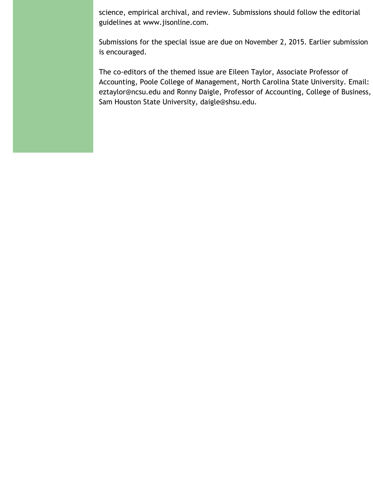science, empirical archival, and review. Submissions should follow the editorial guidelines at www.jisonline.com.

Submissions for the special issue are due on November 2, 2015. Earlier submission is encouraged.

The co-editors of the themed issue are Eileen Taylor, Associate Professor of Accounting, Poole College of Management, North Carolina State University. Email: eztaylor@ncsu.edu and Ronny Daigle, Professor of Accounting, College of Business, Sam Houston State University, daigle@shsu.edu.